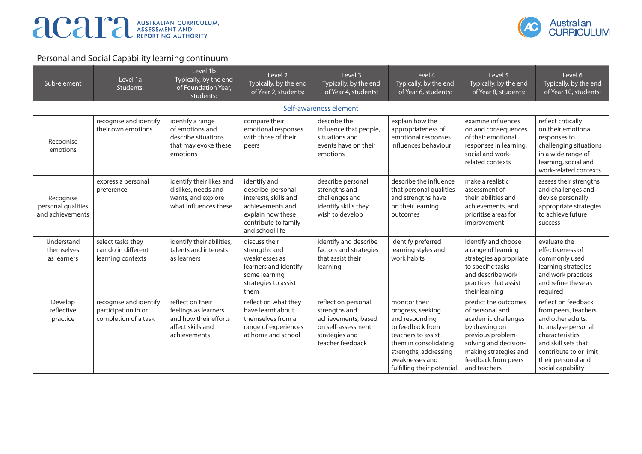

| Sub-element                                         | Level 1a<br>Students:                                                 | Level 1b<br>Typically, by the end<br>of Foundation Year,<br>students:                                  | Level 2<br>Typically, by the end<br>of Year 2, students:                                                                                       | Level 3<br>Typically, by the end<br>of Year 4, students:                                                                | Level 4<br>Typically, by the end<br>of Year 6, students:                                                                                                                                         | Level 5<br>Typically, by the end<br>of Year 8, students:                                                                                                                                      | Level 6<br>Typically, by the end<br>of Year 10, students:                                                                                                                                              |  |  |  |
|-----------------------------------------------------|-----------------------------------------------------------------------|--------------------------------------------------------------------------------------------------------|------------------------------------------------------------------------------------------------------------------------------------------------|-------------------------------------------------------------------------------------------------------------------------|--------------------------------------------------------------------------------------------------------------------------------------------------------------------------------------------------|-----------------------------------------------------------------------------------------------------------------------------------------------------------------------------------------------|--------------------------------------------------------------------------------------------------------------------------------------------------------------------------------------------------------|--|--|--|
|                                                     | Self-awareness element                                                |                                                                                                        |                                                                                                                                                |                                                                                                                         |                                                                                                                                                                                                  |                                                                                                                                                                                               |                                                                                                                                                                                                        |  |  |  |
| Recognise<br>emotions                               | recognise and identify<br>their own emotions                          | identify a range<br>of emotions and<br>describe situations<br>that may evoke these<br>emotions         | compare their<br>emotional responses<br>with those of their<br>peers                                                                           | describe the<br>influence that people,<br>situations and<br>events have on their<br>emotions                            | explain how the<br>appropriateness of<br>emotional responses<br>influences behaviour                                                                                                             | examine influences<br>on and consequences<br>of their emotional<br>responses in learning,<br>social and work-<br>related contexts                                                             | reflect critically<br>on their emotional<br>responses to<br>challenging situations<br>in a wide range of<br>learning, social and<br>work-related contexts                                              |  |  |  |
| Recognise<br>personal qualities<br>and achievements | express a personal<br>preference                                      | identify their likes and<br>dislikes, needs and<br>wants, and explore<br>what influences these         | identify and<br>describe personal<br>interests, skills and<br>achievements and<br>explain how these<br>contribute to family<br>and school life | describe personal<br>strengths and<br>challenges and<br>identify skills they<br>wish to develop                         | describe the influence<br>that personal qualities<br>and strengths have<br>on their learning<br>outcomes                                                                                         | make a realistic<br>assessment of<br>their abilities and<br>achievements, and<br>prioritise areas for<br>improvement                                                                          | assess their strengths<br>and challenges and<br>devise personally<br>appropriate strategies<br>to achieve future<br>success                                                                            |  |  |  |
| Understand<br>themselves<br>as learners             | select tasks they<br>can do in different<br>learning contexts         | identify their abilities,<br>talents and interests<br>as learners                                      | discuss their<br>strengths and<br>weaknesses as<br>learners and identify<br>some learning<br>strategies to assist<br>them                      | identify and describe<br>factors and strategies<br>that assist their<br>learning                                        | identify preferred<br>learning styles and<br>work habits                                                                                                                                         | identify and choose<br>a range of learning<br>strategies appropriate<br>to specific tasks<br>and describe work<br>practices that assist<br>their learning                                     | evaluate the<br>effectiveness of<br>commonly used<br>learning strategies<br>and work practices<br>and refine these as<br>required                                                                      |  |  |  |
| Develop<br>reflective<br>practice                   | recognise and identify<br>participation in or<br>completion of a task | reflect on their<br>feelings as learners<br>and how their efforts<br>affect skills and<br>achievements | reflect on what they<br>have learnt about<br>themselves from a<br>range of experiences<br>at home and school                                   | reflect on personal<br>strengths and<br>achievements, based<br>on self-assessment<br>strategies and<br>teacher feedback | monitor their<br>progress, seeking<br>and responding<br>to feedback from<br>teachers to assist<br>them in consolidating<br>strengths, addressing<br>weaknesses and<br>fulfilling their potential | predict the outcomes<br>of personal and<br>academic challenges<br>by drawing on<br>previous problem-<br>solving and decision-<br>making strategies and<br>feedback from peers<br>and teachers | reflect on feedback<br>from peers, teachers<br>and other adults,<br>to analyse personal<br>characteristics<br>and skill sets that<br>contribute to or limit<br>their personal and<br>social capability |  |  |  |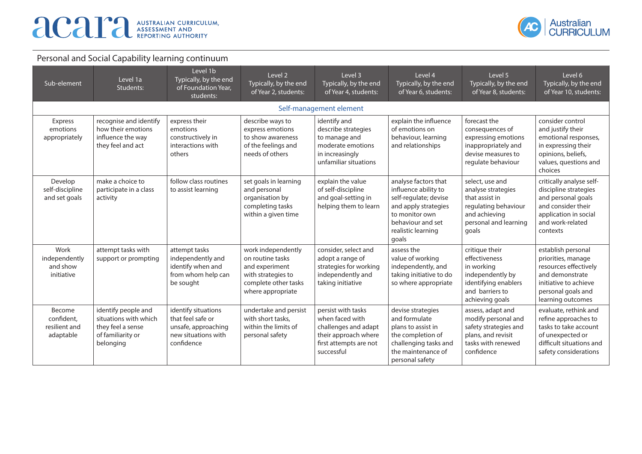

| Sub-element                                        | Level 1a<br>Students:                                                                               | Level 1b<br>Typically, by the end<br>of Foundation Year,<br>students:                                | Level 2<br>Typically, by the end<br>of Year 2, students:                                                                    | Level 3<br>Typically, by the end<br>of Year 4, students:                                                                      | Level 4<br>Typically, by the end<br>of Year 6, students:                                                                                                            | Level 5<br>Typically, by the end<br>of Year 8, students:                                                                           | Level 6<br>Typically, by the end<br>of Year 10, students:                                                                                                |
|----------------------------------------------------|-----------------------------------------------------------------------------------------------------|------------------------------------------------------------------------------------------------------|-----------------------------------------------------------------------------------------------------------------------------|-------------------------------------------------------------------------------------------------------------------------------|---------------------------------------------------------------------------------------------------------------------------------------------------------------------|------------------------------------------------------------------------------------------------------------------------------------|----------------------------------------------------------------------------------------------------------------------------------------------------------|
|                                                    |                                                                                                     |                                                                                                      |                                                                                                                             | Self-management element                                                                                                       |                                                                                                                                                                     |                                                                                                                                    |                                                                                                                                                          |
| Express<br>emotions<br>appropriately               | recognise and identify<br>how their emotions<br>influence the way<br>they feel and act              | express their<br>emotions<br>constructively in<br>interactions with<br>others                        | describe ways to<br>express emotions<br>to show awareness<br>of the feelings and<br>needs of others                         | identify and<br>describe strategies<br>to manage and<br>moderate emotions<br>in increasingly<br>unfamiliar situations         | explain the influence<br>of emotions on<br>behaviour, learning<br>and relationships                                                                                 | forecast the<br>consequences of<br>expressing emotions<br>inappropriately and<br>devise measures to<br>regulate behaviour          | consider control<br>and justify their<br>emotional responses,<br>in expressing their<br>opinions, beliefs,<br>values, questions and<br>choices           |
| Develop<br>self-discipline<br>and set goals        | make a choice to<br>participate in a class<br>activity                                              | follow class routines<br>to assist learning                                                          | set goals in learning<br>and personal<br>organisation by<br>completing tasks<br>within a given time                         | explain the value<br>of self-discipline<br>and goal-setting in<br>helping them to learn                                       | analyse factors that<br>influence ability to<br>self-regulate; devise<br>and apply strategies<br>to monitor own<br>behaviour and set<br>realistic learning<br>goals | select, use and<br>analyse strategies<br>that assist in<br>regulating behaviour<br>and achieving<br>personal and learning<br>goals | critically analyse self-<br>discipline strategies<br>and personal goals<br>and consider their<br>application in social<br>and work-related<br>contexts   |
| Work<br>independently<br>and show<br>initiative    | attempt tasks with<br>support or prompting                                                          | attempt tasks<br>independently and<br>identify when and<br>from whom help can<br>be sought           | work independently<br>on routine tasks<br>and experiment<br>with strategies to<br>complete other tasks<br>where appropriate | consider, select and<br>adopt a range of<br>strategies for working<br>independently and<br>taking initiative                  | assess the<br>value of working<br>independently, and<br>taking initiative to do<br>so where appropriate                                                             | critique their<br>effectiveness<br>in working<br>independently by<br>identifying enablers<br>and barriers to<br>achieving goals    | establish personal<br>priorities, manage<br>resources effectively<br>and demonstrate<br>initiative to achieve<br>personal goals and<br>learning outcomes |
| Become<br>confident,<br>resilient and<br>adaptable | identify people and<br>situations with which<br>they feel a sense<br>of familiarity or<br>belonging | identify situations<br>that feel safe or<br>unsafe, approaching<br>new situations with<br>confidence | undertake and persist<br>with short tasks.<br>within the limits of<br>personal safety                                       | persist with tasks<br>when faced with<br>challenges and adapt<br>their approach where<br>first attempts are not<br>successful | devise strategies<br>and formulate<br>plans to assist in<br>the completion of<br>challenging tasks and<br>the maintenance of<br>personal safety                     | assess, adapt and<br>modify personal and<br>safety strategies and<br>plans, and revisit<br>tasks with renewed<br>confidence        | evaluate, rethink and<br>refine approaches to<br>tasks to take account<br>of unexpected or<br>difficult situations and<br>safety considerations          |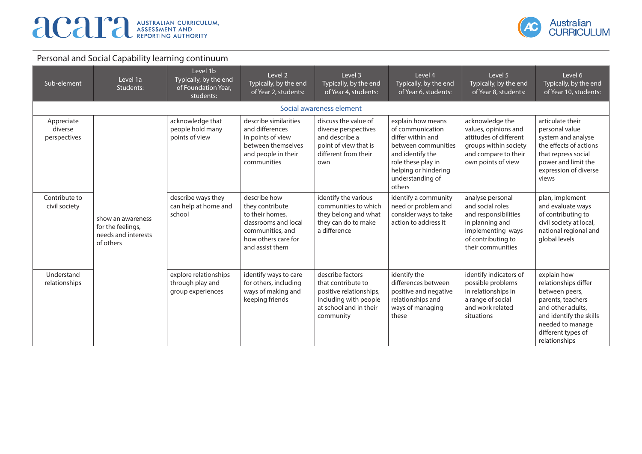

| Sub-element                           | Level 1a<br>Students:                                                      | Level 1b<br>Typically, by the end<br>of Foundation Year,<br>students: | Level 2<br>Typically, by the end<br>of Year 2, students:                                                                                 | Level 3<br>Typically, by the end<br>of Year 4, students:                                                                          | Level 4<br>Typically, by the end<br>of Year 6, students:                                                                                                                          | Level 5<br>Typically, by the end<br>of Year 8, students:                                                                                        | Level 6<br>Typically, by the end<br>of Year 10, students:                                                                                                                             |
|---------------------------------------|----------------------------------------------------------------------------|-----------------------------------------------------------------------|------------------------------------------------------------------------------------------------------------------------------------------|-----------------------------------------------------------------------------------------------------------------------------------|-----------------------------------------------------------------------------------------------------------------------------------------------------------------------------------|-------------------------------------------------------------------------------------------------------------------------------------------------|---------------------------------------------------------------------------------------------------------------------------------------------------------------------------------------|
|                                       |                                                                            |                                                                       |                                                                                                                                          | Social awareness element                                                                                                          |                                                                                                                                                                                   |                                                                                                                                                 |                                                                                                                                                                                       |
| Appreciate<br>diverse<br>perspectives |                                                                            | acknowledge that<br>people hold many<br>points of view                | describe similarities<br>and differences<br>in points of view<br>between themselves<br>and people in their<br>communities                | discuss the value of<br>diverse perspectives<br>and describe a<br>point of view that is<br>different from their<br>own            | explain how means<br>of communication<br>differ within and<br>between communities<br>and identify the<br>role these play in<br>helping or hindering<br>understanding of<br>others | acknowledge the<br>values, opinions and<br>attitudes of different<br>groups within society<br>and compare to their<br>own points of view        | articulate their<br>personal value<br>system and analyse<br>the effects of actions<br>that repress social<br>power and limit the<br>expression of diverse<br>views                    |
| Contribute to<br>civil society        | show an awareness<br>for the feelings,<br>needs and interests<br>of others | describe ways they<br>can help at home and<br>school                  | describe how<br>they contribute<br>to their homes,<br>classrooms and local<br>communities, and<br>how others care for<br>and assist them | identify the various<br>communities to which<br>they belong and what<br>they can do to make<br>a difference                       | identify a community<br>need or problem and<br>consider ways to take<br>action to address it                                                                                      | analyse personal<br>and social roles<br>and responsibilities<br>in planning and<br>implementing ways<br>of contributing to<br>their communities | plan, implement<br>and evaluate ways<br>of contributing to<br>civil society at local,<br>national regional and<br>global levels                                                       |
| Understand<br>relationships           |                                                                            | explore relationships<br>through play and<br>group experiences        | identify ways to care<br>for others, including<br>ways of making and<br>keeping friends                                                  | describe factors<br>that contribute to<br>positive relationships,<br>including with people<br>at school and in their<br>community | identify the<br>differences between<br>positive and negative<br>relationships and<br>ways of managing<br>these                                                                    | identify indicators of<br>possible problems<br>in relationships in<br>a range of social<br>and work related<br>situations                       | explain how<br>relationships differ<br>between peers,<br>parents, teachers<br>and other adults.<br>and identify the skills<br>needed to manage<br>different types of<br>relationships |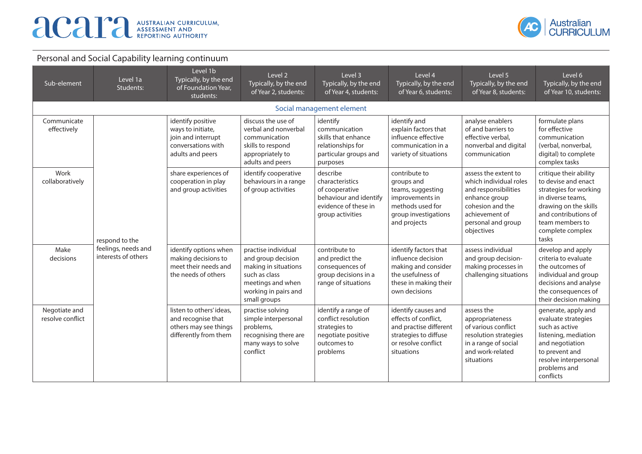

| Sub-element                       | Level 1a<br>Students:                                        | Level 1b<br>Typically, by the end<br>of Foundation Year,<br>students:                                  | Level 2<br>Typically, by the end<br>of Year 2, students:                                                                                        | Level 3<br>Typically, by the end<br>of Year 4, students:                                                            | Level 4<br>Typically, by the end<br>of Year 6, students:                                                                            | Level 5<br>Typically, by the end<br>of Year 8, students:                                                                                                          | Level 6<br>Typically, by the end<br>of Year 10, students:                                                                                                                                     |
|-----------------------------------|--------------------------------------------------------------|--------------------------------------------------------------------------------------------------------|-------------------------------------------------------------------------------------------------------------------------------------------------|---------------------------------------------------------------------------------------------------------------------|-------------------------------------------------------------------------------------------------------------------------------------|-------------------------------------------------------------------------------------------------------------------------------------------------------------------|-----------------------------------------------------------------------------------------------------------------------------------------------------------------------------------------------|
|                                   |                                                              |                                                                                                        |                                                                                                                                                 | Social management element                                                                                           |                                                                                                                                     |                                                                                                                                                                   |                                                                                                                                                                                               |
| Communicate<br>effectively        | respond to the<br>feelings, needs and<br>interests of others | identify positive<br>ways to initiate,<br>join and interrupt<br>conversations with<br>adults and peers | discuss the use of<br>verbal and nonverbal<br>communication<br>skills to respond<br>appropriately to<br>adults and peers                        | identify<br>communication<br>skills that enhance<br>relationships for<br>particular groups and<br>purposes          | identify and<br>explain factors that<br>influence effective<br>communication in a<br>variety of situations                          | analyse enablers<br>of and barriers to<br>effective verbal,<br>nonverbal and digital<br>communication                                                             | formulate plans<br>for effective<br>communication<br>(verbal, nonverbal,<br>digital) to complete<br>complex tasks                                                                             |
| Work<br>collaboratively           |                                                              | share experiences of<br>cooperation in play<br>and group activities                                    | identify cooperative<br>behaviours in a range<br>of group activities                                                                            | describe<br>characteristics<br>of cooperative<br>behaviour and identify<br>evidence of these in<br>group activities | contribute to<br>groups and<br>teams, suggesting<br>improvements in<br>methods used for<br>group investigations<br>and projects     | assess the extent to<br>which individual roles<br>and responsibilities<br>enhance group<br>cohesion and the<br>achievement of<br>personal and group<br>objectives | critique their ability<br>to devise and enact<br>strategies for working<br>in diverse teams.<br>drawing on the skills<br>and contributions of<br>team members to<br>complete complex<br>tasks |
| Make<br>decisions                 |                                                              | identify options when<br>making decisions to<br>meet their needs and<br>the needs of others            | practise individual<br>and group decision<br>making in situations<br>such as class<br>meetings and when<br>working in pairs and<br>small groups | contribute to<br>and predict the<br>consequences of<br>group decisions in a<br>range of situations                  | identify factors that<br>influence decision<br>making and consider<br>the usefulness of<br>these in making their<br>own decisions   | assess individual<br>and group decision-<br>making processes in<br>challenging situations                                                                         | develop and apply<br>criteria to evaluate<br>the outcomes of<br>individual and group<br>decisions and analyse<br>the consequences of<br>their decision making                                 |
| Negotiate and<br>resolve conflict |                                                              | listen to others' ideas,<br>and recognise that<br>others may see things<br>differently from them       | practise solving<br>simple interpersonal<br>problems,<br>recognising there are<br>many ways to solve<br>conflict                                | identify a range of<br>conflict resolution<br>strategies to<br>negotiate positive<br>outcomes to<br>problems        | identify causes and<br>effects of conflict,<br>and practise different<br>strategies to diffuse<br>or resolve conflict<br>situations | assess the<br>appropriateness<br>of various conflict<br>resolution strategies<br>in a range of social<br>and work-related<br>situations                           | generate, apply and<br>evaluate strategies<br>such as active<br>listening, mediation<br>and negotiation<br>to prevent and<br>resolve interpersonal<br>problems and<br>conflicts               |